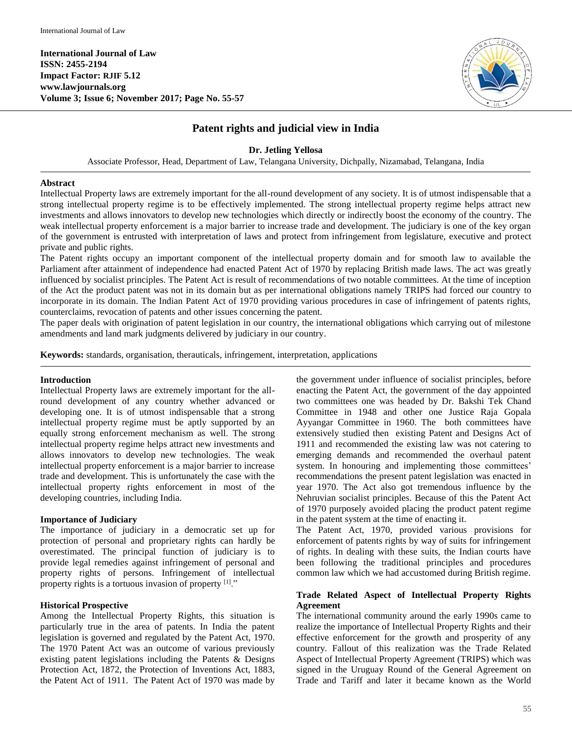

# **Patent rights and judicial view in India**

## **Dr. Jetling Yellosa**

Associate Professor, Head, Department of Law, Telangana University, Dichpally, Nizamabad, Telangana, India

## **Abstract**

Intellectual Property laws are extremely important for the all-round development of any society. It is of utmost indispensable that a strong intellectual property regime is to be effectively implemented. The strong intellectual property regime helps attract new investments and allows innovators to develop new technologies which directly or indirectly boost the economy of the country. The weak intellectual property enforcement is a major barrier to increase trade and development. The judiciary is one of the key organ of the government is entrusted with interpretation of laws and protect from infringement from legislature, executive and protect private and public rights.

The Patent rights occupy an important component of the intellectual property domain and for smooth law to available the Parliament after attainment of independence had enacted Patent Act of 1970 by replacing British made laws. The act was greatly influenced by socialist principles. The Patent Act is result of recommendations of two notable committees. At the time of inception of the Act the product patent was not in its domain but as per international obligations namely TRIPS had forced our country to incorporate in its domain. The Indian Patent Act of 1970 providing various procedures in case of infringement of patents rights, counterclaims, revocation of patents and other issues concerning the patent.

The paper deals with origination of patent legislation in our country, the international obligations which carrying out of milestone amendments and land mark judgments delivered by judiciary in our country.

**Keywords:** standards, organisation, therauticals, infringement, interpretation, applications

## **Introduction**

Intellectual Property laws are extremely important for the allround development of any country whether advanced or developing one. It is of utmost indispensable that a strong intellectual property regime must be aptly supported by an equally strong enforcement mechanism as well. The strong intellectual property regime helps attract new investments and allows innovators to develop new technologies. The weak intellectual property enforcement is a major barrier to increase trade and development. This is unfortunately the case with the intellectual property rights enforcement in most of the developing countries, including India.

## **Importance of Judiciary**

The importance of judiciary in a democratic set up for protection of personal and proprietary rights can hardly be overestimated. The principal function of judiciary is to provide legal remedies against infringement of personal and property rights of persons. Infringement of intellectual property rights is a tortuous invasion of property [1]."

## **Historical Prospective**

Among the Intellectual Property Rights, this situation is particularly true in the area of patents. In India the patent legislation is governed and regulated by the Patent Act, 1970. The 1970 Patent Act was an outcome of various previously existing patent legislations including the Patents & Designs Protection Act, 1872, the Protection of Inventions Act, 1883, the Patent Act of 1911. The Patent Act of 1970 was made by

the government under influence of socialist principles, before enacting the Patent Act, the government of the day appointed two committees one was headed by Dr. Bakshi Tek Chand Committee in 1948 and other one Justice Raja Gopala Ayyangar Committee in 1960. The both committees have extensively studied then existing Patent and Designs Act of 1911 and recommended the existing law was not catering to emerging demands and recommended the overhaul patent system. In honouring and implementing those committees' recommendations the present patent legislation was enacted in year 1970. The Act also got tremendous influence by the Nehruvian socialist principles. Because of this the Patent Act of 1970 purposely avoided placing the product patent regime in the patent system at the time of enacting it.

The Patent Act, 1970, provided various provisions for enforcement of patents rights by way of suits for infringement of rights. In dealing with these suits, the Indian courts have been following the traditional principles and procedures common law which we had accustomed during British regime.

## **Trade Related Aspect of Intellectual Property Rights Agreement**

The international community around the early 1990s came to realize the importance of Intellectual Property Rights and their effective enforcement for the growth and prosperity of any country. Fallout of this realization was the Trade Related Aspect of Intellectual Property Agreement (TRIPS) which was signed in the Uruguay Round of the General Agreement on Trade and Tariff and later it became known as the World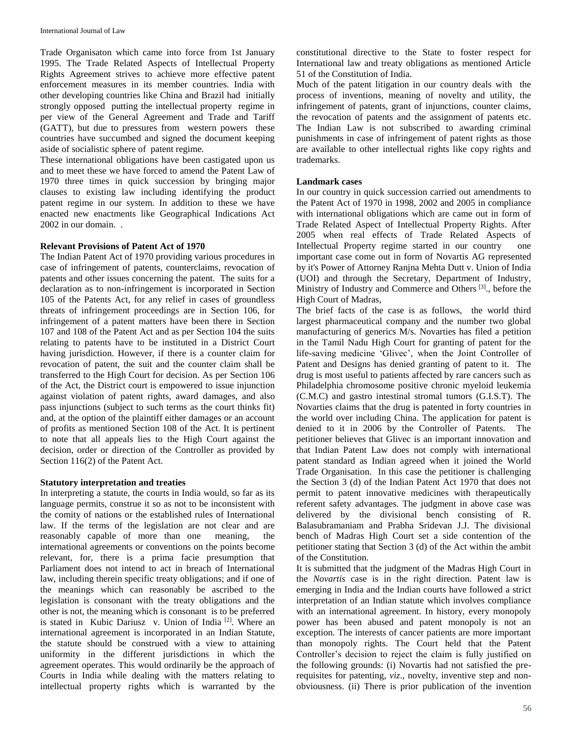Trade Organisaton which came into force from 1st January 1995. The Trade Related Aspects of Intellectual Property Rights Agreement strives to achieve more effective patent enforcement measures in its member countries. India with other developing countries like China and Brazil had initially strongly opposed putting the intellectual property regime in per view of the General Agreement and Trade and Tariff (GATT), but due to pressures from western powers these countries have succumbed and signed the document keeping aside of socialistic sphere of patent regime.

These international obligations have been castigated upon us and to meet these we have forced to amend the Patent Law of 1970 three times in quick succession by bringing major clauses to existing law including identifying the product patent regime in our system. In addition to these we have enacted new enactments like Geographical Indications Act 2002 in our domain. .

## **Relevant Provisions of Patent Act of 1970**

The Indian Patent Act of 1970 providing various procedures in case of infringement of patents, counterclaims, revocation of patents and other issues concerning the patent. The suits for a declaration as to non-infringement is incorporated in Section 105 of the Patents Act, for any relief in cases of groundless threats of infringement proceedings are in Section 106, for infringement of a patent matters have been there in Section 107 and 108 of the Patent Act and as per Section 104 the suits relating to patents have to be instituted in a District Court having jurisdiction. However, if there is a counter claim for revocation of patent, the suit and the counter claim shall be transferred to the High Court for decision. As per Section 106 of the Act, the District court is empowered to issue injunction against violation of patent rights, award damages, and also pass injunctions (subject to such terms as the court thinks fit) and, at the option of the plaintiff either damages or an account of profits as mentioned Section 108 of the Act. It is pertinent to note that all appeals lies to the High Court against the decision, order or direction of the Controller as provided by Section 116(2) of the Patent Act.

## **Statutory interpretation and treaties**

In interpreting a statute, the courts in India would, so far as its language permits, construe it so as not to be inconsistent with the comity of nations or the established rules of International law. If the terms of the legislation are not clear and are reasonably capable of more than one meaning, the international agreements or conventions on the points become relevant, for, there is a prima facie presumption that Parliament does not intend to act in breach of International law, including therein specific treaty obligations; and if one of the meanings which can reasonably be ascribed to the legislation is consonant with the treaty obligations and the other is not, the meaning which is consonant is to be preferred is stated in Kubic Dariusz v. Union of India<sup>[2]</sup>. Where an international agreement is incorporated in an Indian Statute, the statute should be construed with a view to attaining uniformity in the different jurisdictions in which the agreement operates. This would ordinarily be the approach of Courts in India while dealing with the matters relating to intellectual property rights which is warranted by the

constitutional directive to the State to foster respect for International law and treaty obligations as mentioned Article 51 of the Constitution of India.

Much of the patent litigation in our country deals with the process of inventions, meaning of novelty and utility, the infringement of patents, grant of injunctions, counter claims, the revocation of patents and the assignment of patents etc. The Indian Law is not subscribed to awarding criminal punishments in case of infringement of patent rights as those are available to other intellectual rights like copy rights and trademarks.

## **Landmark cases**

In our country in quick succession carried out amendments to the Patent Act of 1970 in 1998, 2002 and 2005 in compliance with international obligations which are came out in form of Trade Related Aspect of Intellectual Property Rights. After 2005 when real effects of Trade Related Aspects of Intellectual Property regime started in our country one important case come out in form of Novartis AG represented by it's Power of Attorney Ranjna Mehta Dutt v. Union of India (UOI) and through the Secretary, Department of Industry, Ministry of Industry and Commerce and Others<sup>[3]</sup>, before the High Court of Madras,

The brief facts of the case is as follows, the world third largest pharmaceutical company and the number two global manufacturing of generics M/s. Novarties has filed a petition in the Tamil Nadu High Court for granting of patent for the life-saving medicine 'Glivec', when the Joint Controller of Patent and Designs has denied granting of patent to it. The drug is most useful to patients affected by rare cancers such as Philadelphia chromosome positive chronic myeloid leukemia (C.M.C) and gastro intestinal stromal tumors (G.I.S.T). The Novarties claims that the drug is patented in forty countries in the world over including China. The application for patent is denied to it in 2006 by the Controller of Patents. The petitioner believes that Glivec is an important innovation and that Indian Patent Law does not comply with international patent standard as Indian agreed when it joined the World Trade Organisation. In this case the petitioner is challenging the Section 3 (d) of the Indian Patent Act 1970 that does not permit to patent innovative medicines with therapeutically referent safety advantages. The judgment in above case was delivered by the divisional bench consisting of R. Balasubramaniam and Prabha Sridevan J.J. The divisional bench of Madras High Court set a side contention of the petitioner stating that Section 3 (d) of the Act within the ambit of the Constitution.

It is submitted that the judgment of the Madras High Court in the *Novartis* case is in the right direction. Patent law is emerging in India and the Indian courts have followed a strict interpretation of an Indian statute which involves compliance with an international agreement. In history, every monopoly power has been abused and patent monopoly is not an exception. The interests of cancer patients are more important than monopoly rights. The Court held that the Patent Controller's decision to reject the claim is fully justified on the following grounds: (i) Novartis had not satisfied the prerequisites for patenting, *viz*., novelty, inventive step and nonobviousness. (ii) There is prior publication of the invention